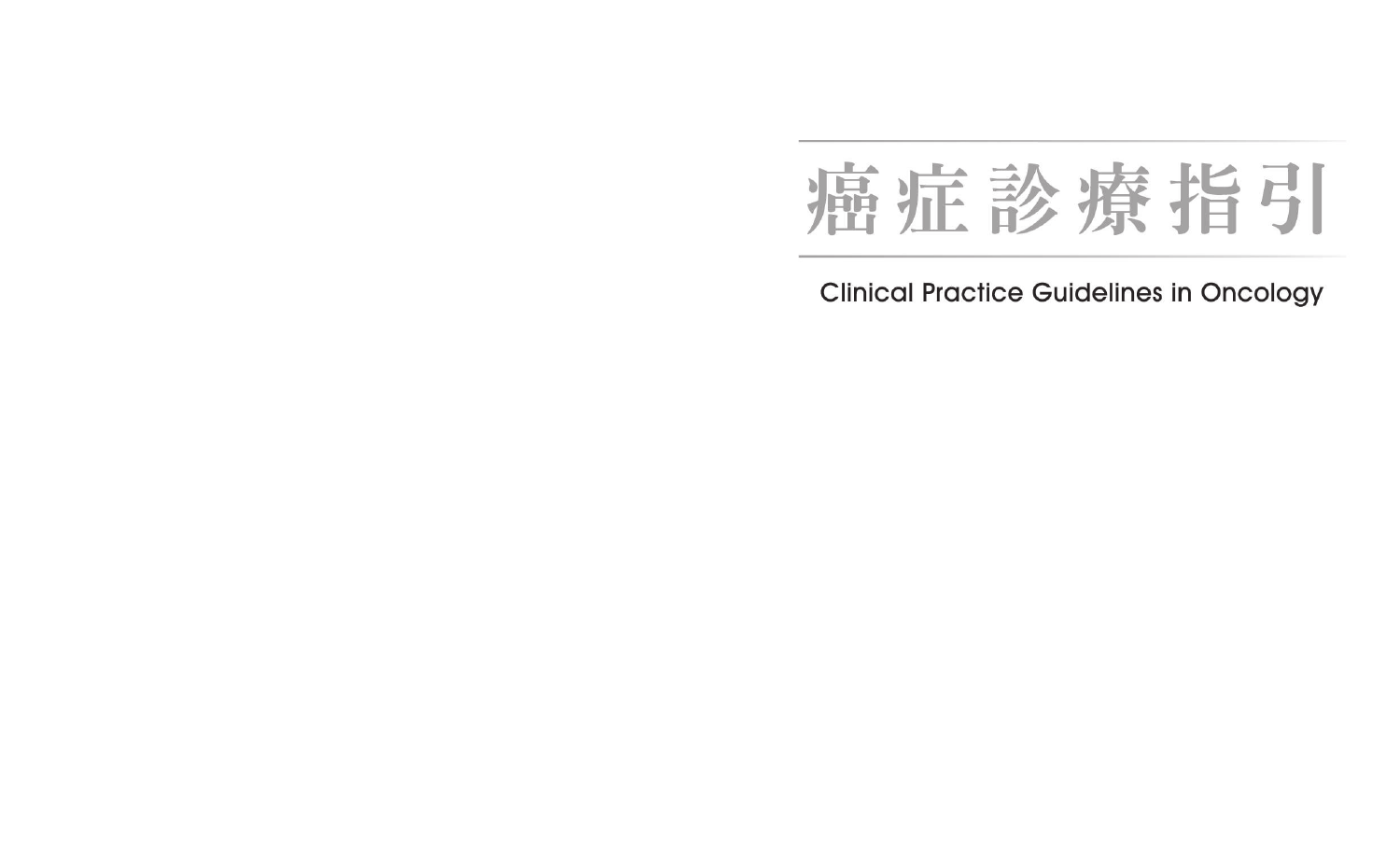# 癌症診療指引

**Clinical Practice Guidelines in Oncology**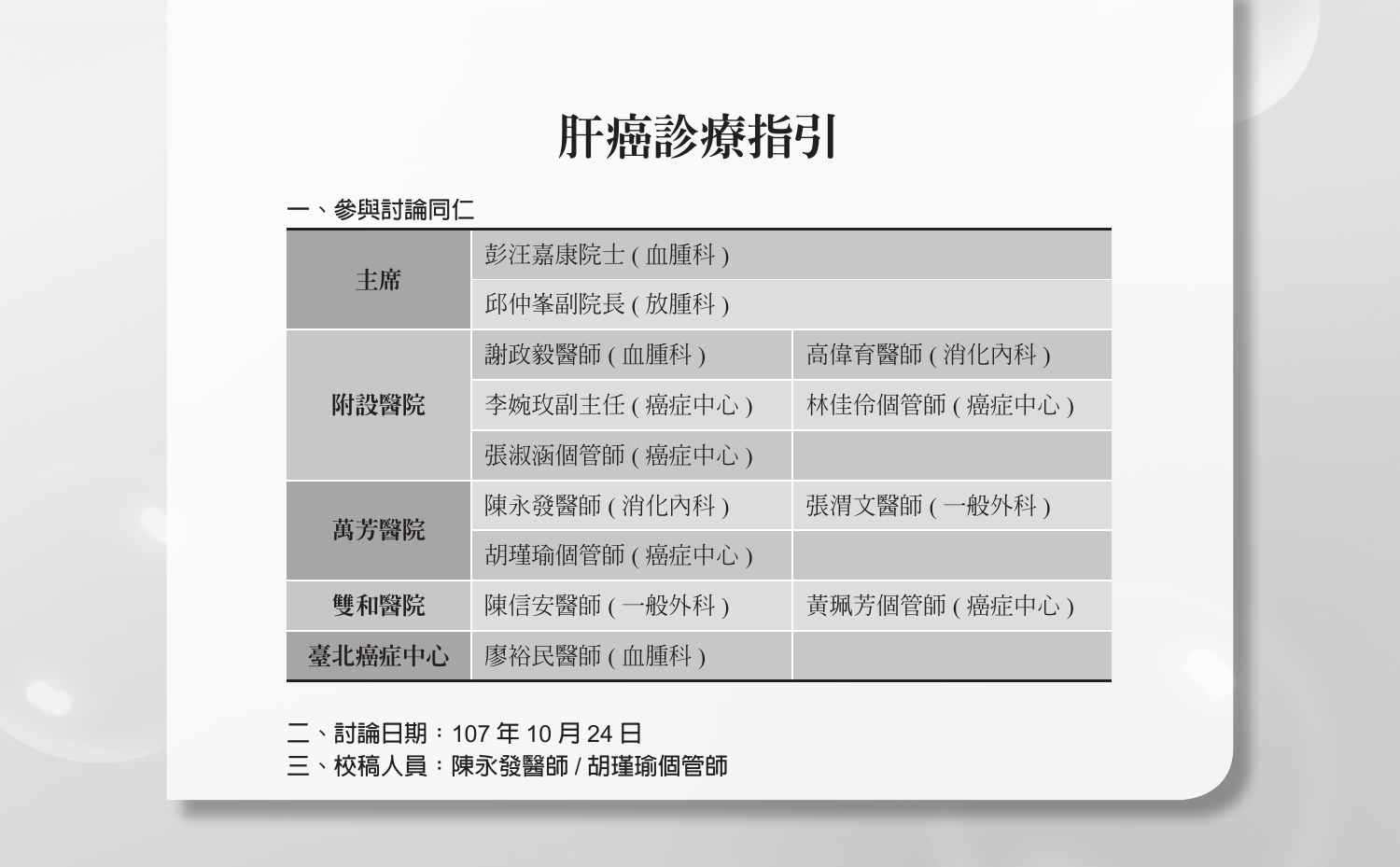# 肝癌診療指引

#### **一、參與討論同仁**

| 主席     | 彭汪嘉康院士 (血腫科)   |                 |  |  |  |
|--------|----------------|-----------------|--|--|--|
|        | 邱仲峯副院長 ( 放腫科 ) |                 |  |  |  |
| 附設醫院   | 謝政毅醫師 (血腫科)    | 高偉育醫師 ( 消化內科 )  |  |  |  |
|        | 李婉玫副主任 (癌症中心)  | 林佳伶個管師 ( 癌症中心 ) |  |  |  |
|        | 張淑涵個管師 (癌症中心)  |                 |  |  |  |
| 萬芳醫院   | 陳永發醫師 ( 消化內科 ) | 張渭文醫師 ( 一般外科 )  |  |  |  |
|        | 胡瑾瑜個管師 (癌症中心)  |                 |  |  |  |
| 雙和醫院   | 陳信安醫師 ( 一般外科 ) | 黃珮芳個管師 (癌症中心)   |  |  |  |
| 臺北癌症中心 | 廖裕民醫師 (血腫科)    |                 |  |  |  |

**二、討論日期:**107 **年** 10 **月** 24 **日**

**三、校稿人員:陳永發醫師** / **胡瑾瑜個管師**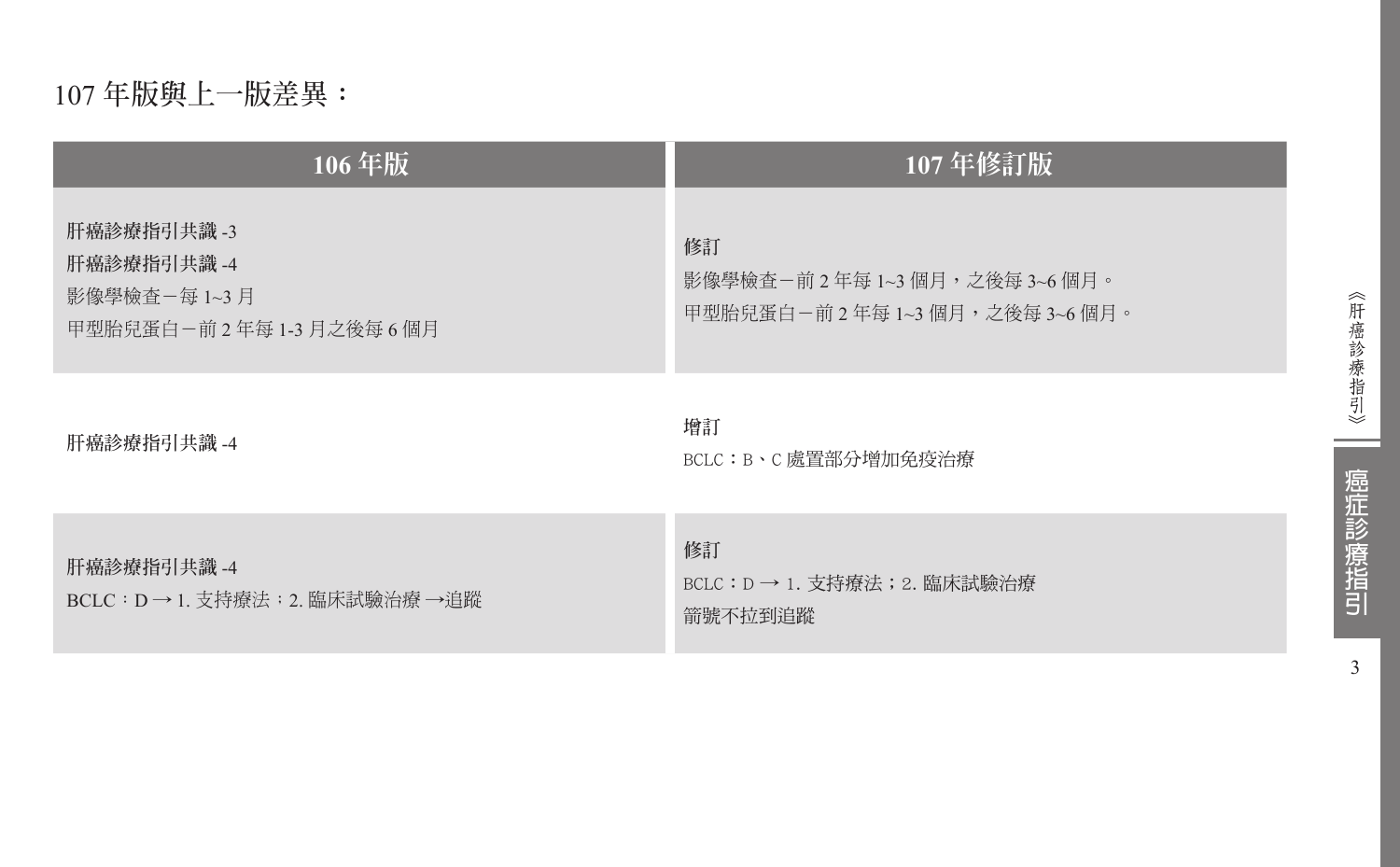# 107 **年版與上一版差異:**

| 106年版                                                                | 107年修訂版                                                                   |
|----------------------------------------------------------------------|---------------------------------------------------------------------------|
| 肝癌診療指引共識 -3<br>肝癌診療指引共識 -4<br>影像學檢杳-每 1~3 月<br>甲型胎兒蛋白-前2年每1-3月之後每6個月 | 修訂<br>影像學檢查-前 2 年每 1~3 個月,之後每 3~6 個月。<br>甲型胎兒蛋白-前 2 年每 1~3 個月,之後每 3~6 個月。 |
| 肝癌診療指引共識 -4                                                          | 增訂<br>BCLC:B、C 處置部分增加免疫治療                                                 |
| 肝癌診療指引共識 -4<br>BCLC : D → 1. 支持療法 ; 2. 臨床試驗治療 →追蹤                    | 修訂<br>BCLC:D → 1. 支持療法;2. 臨床試驗治療<br>箭號不拉到追蹤                               |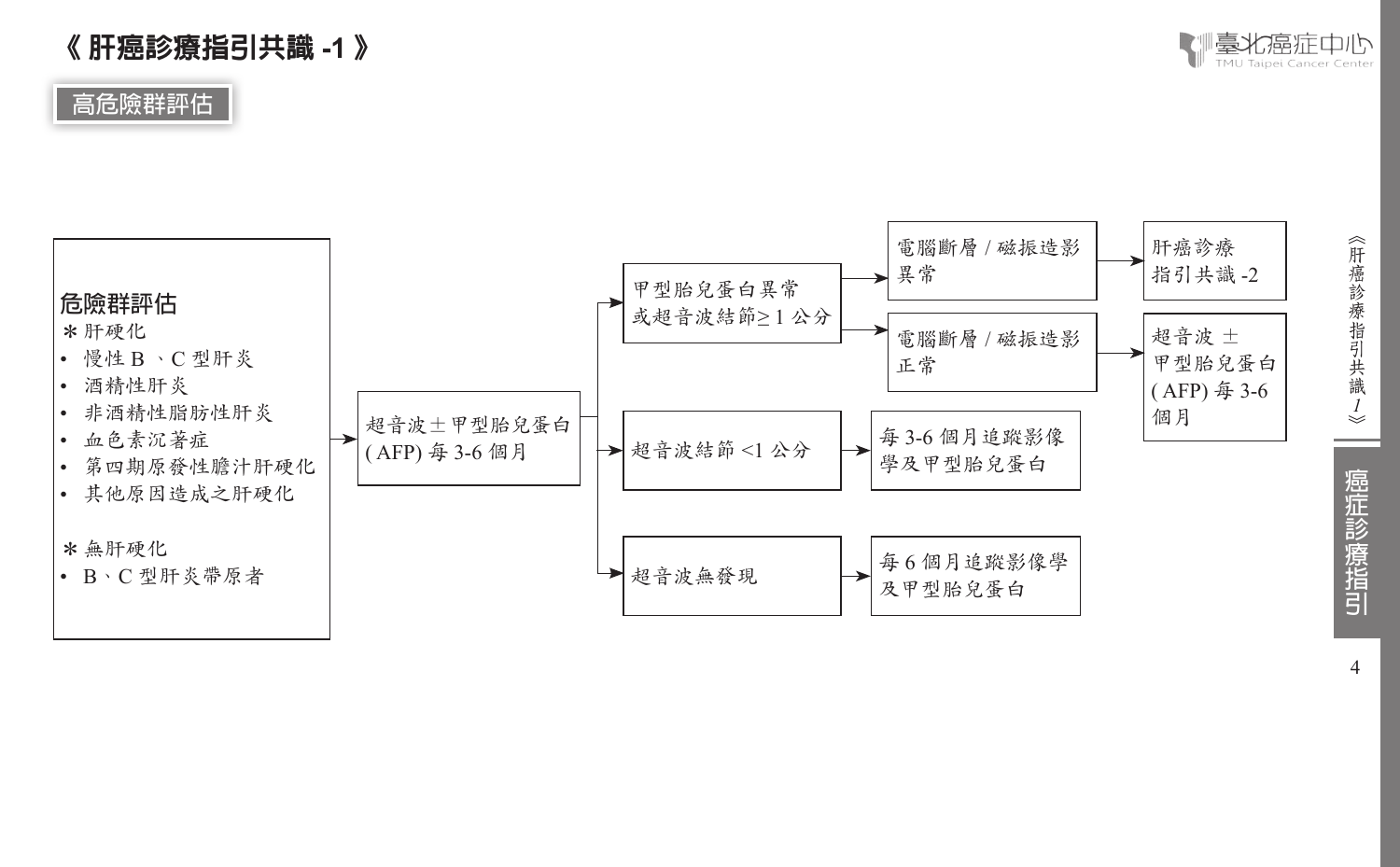《肝癌診療指引共識ノ》

癌症診療指引

4

# 《 肝癌診療指引共識 **-1** 》

**高危險群評估**



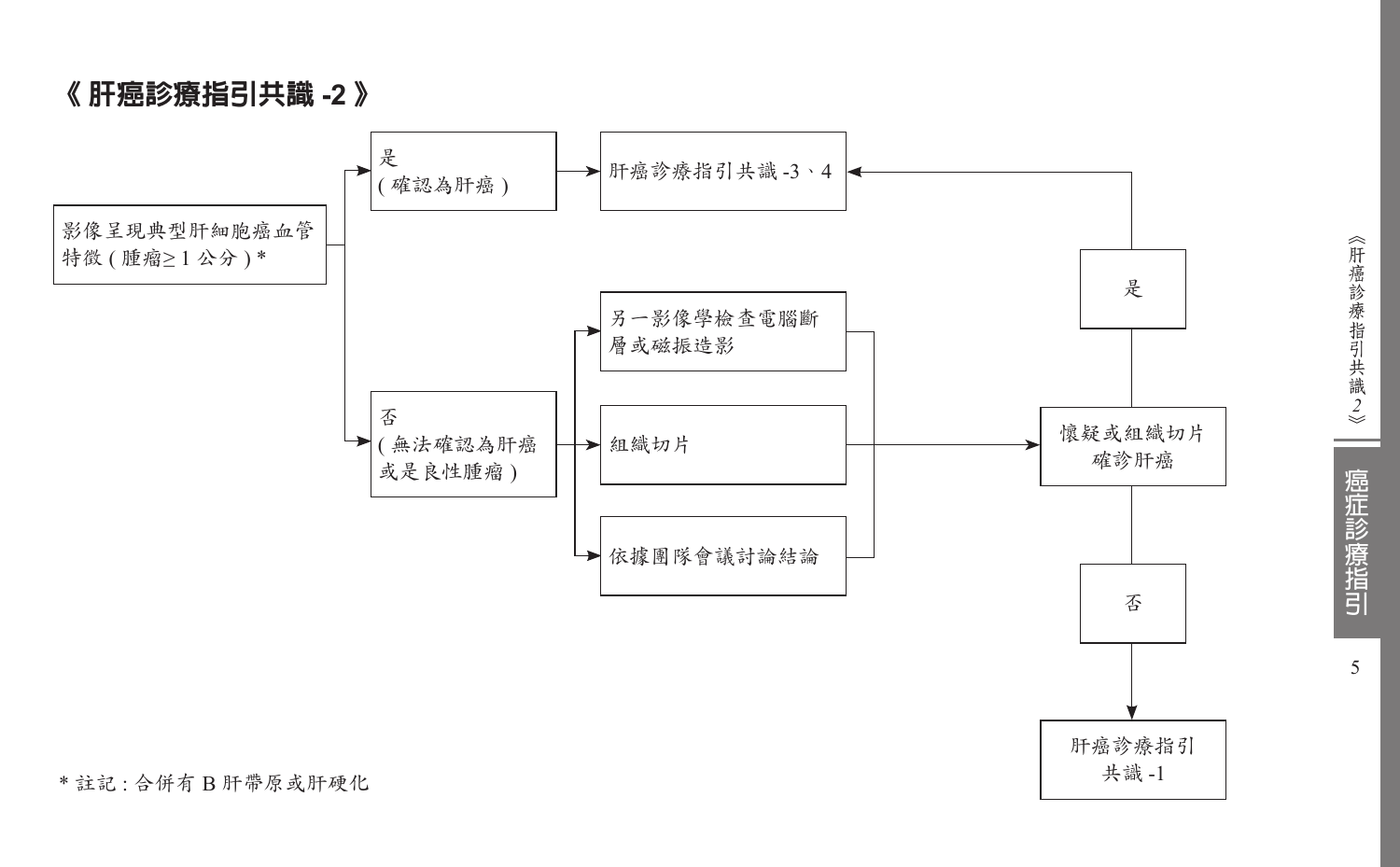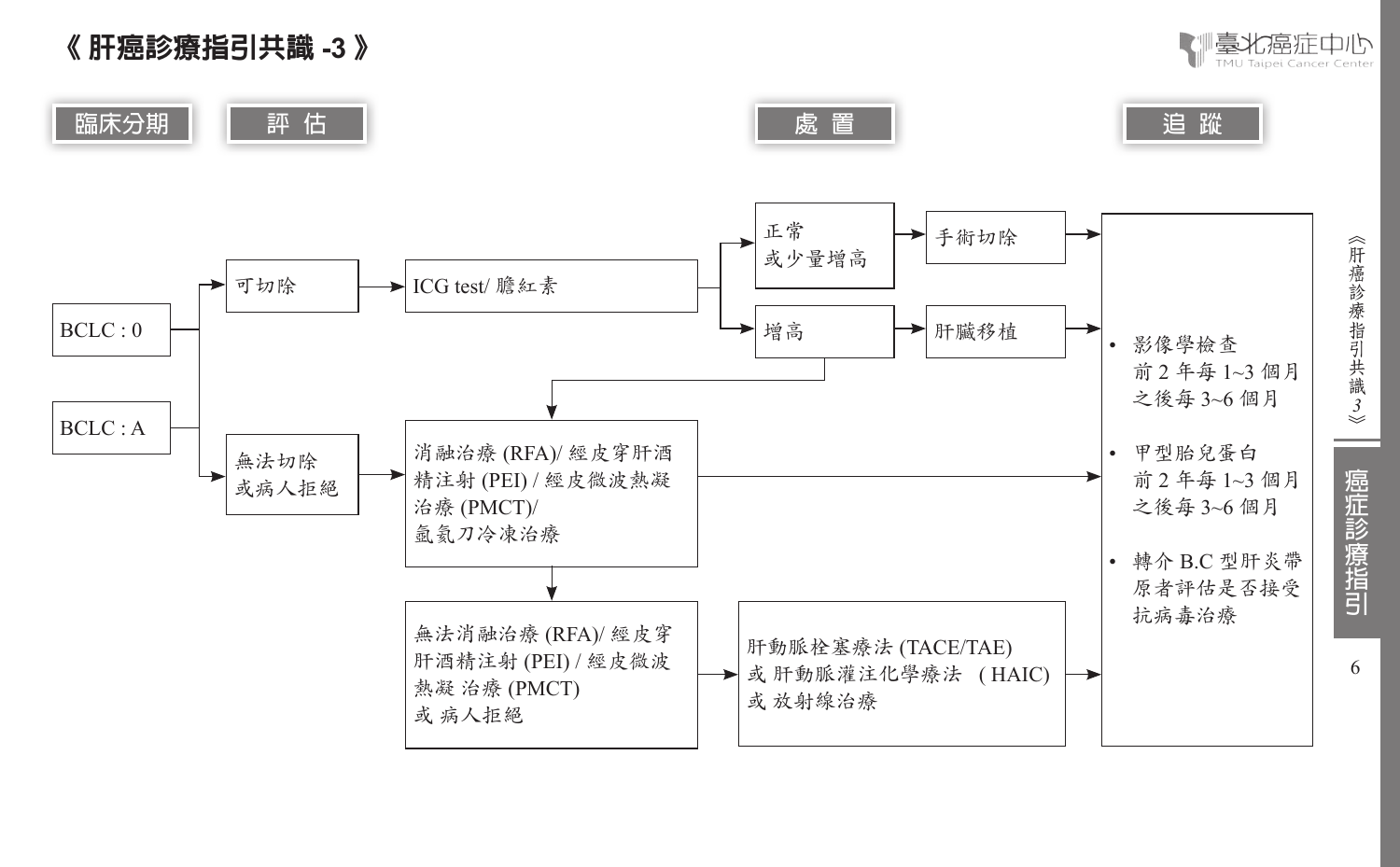



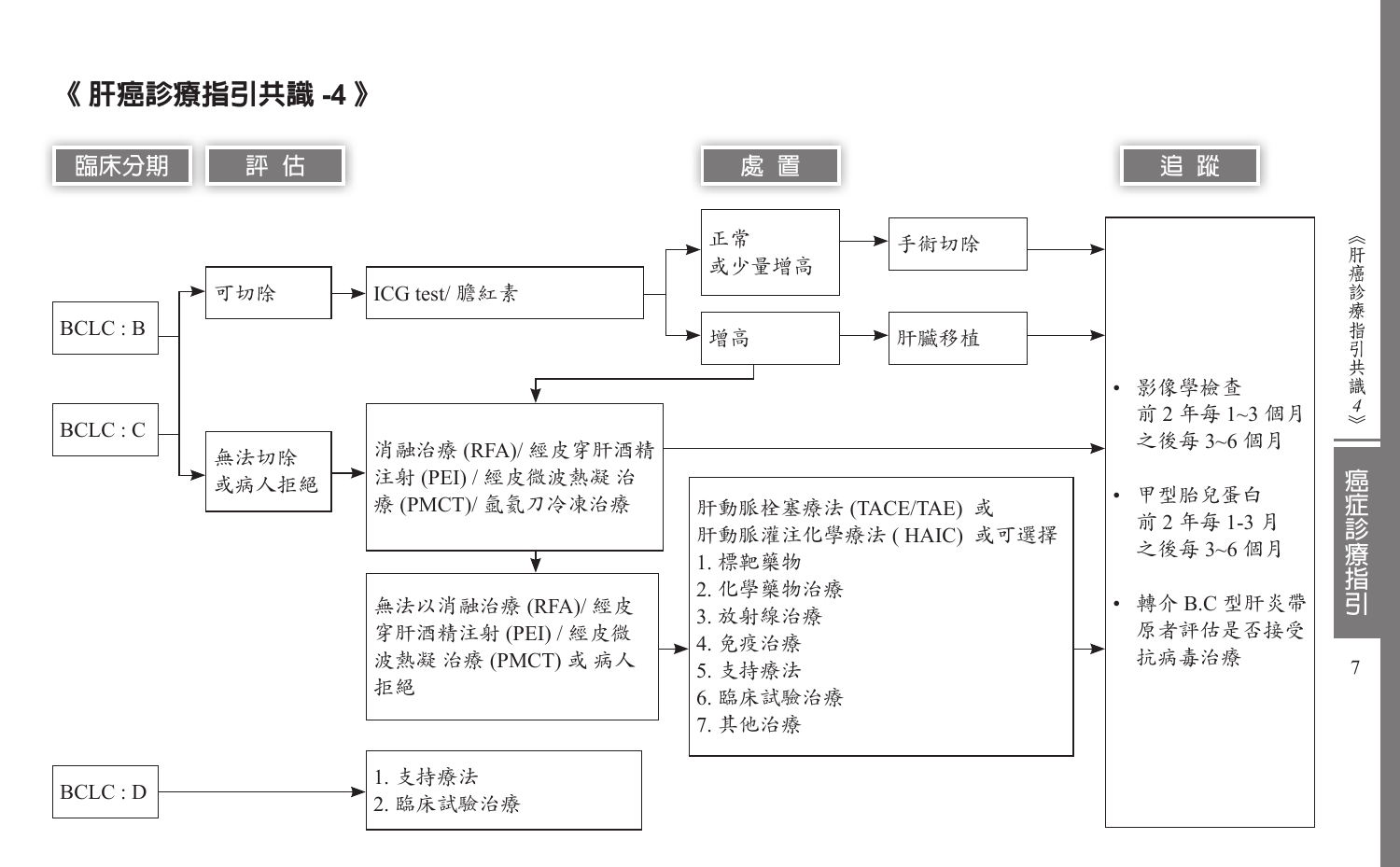《 肝癌診療指引共識 **-4** 》

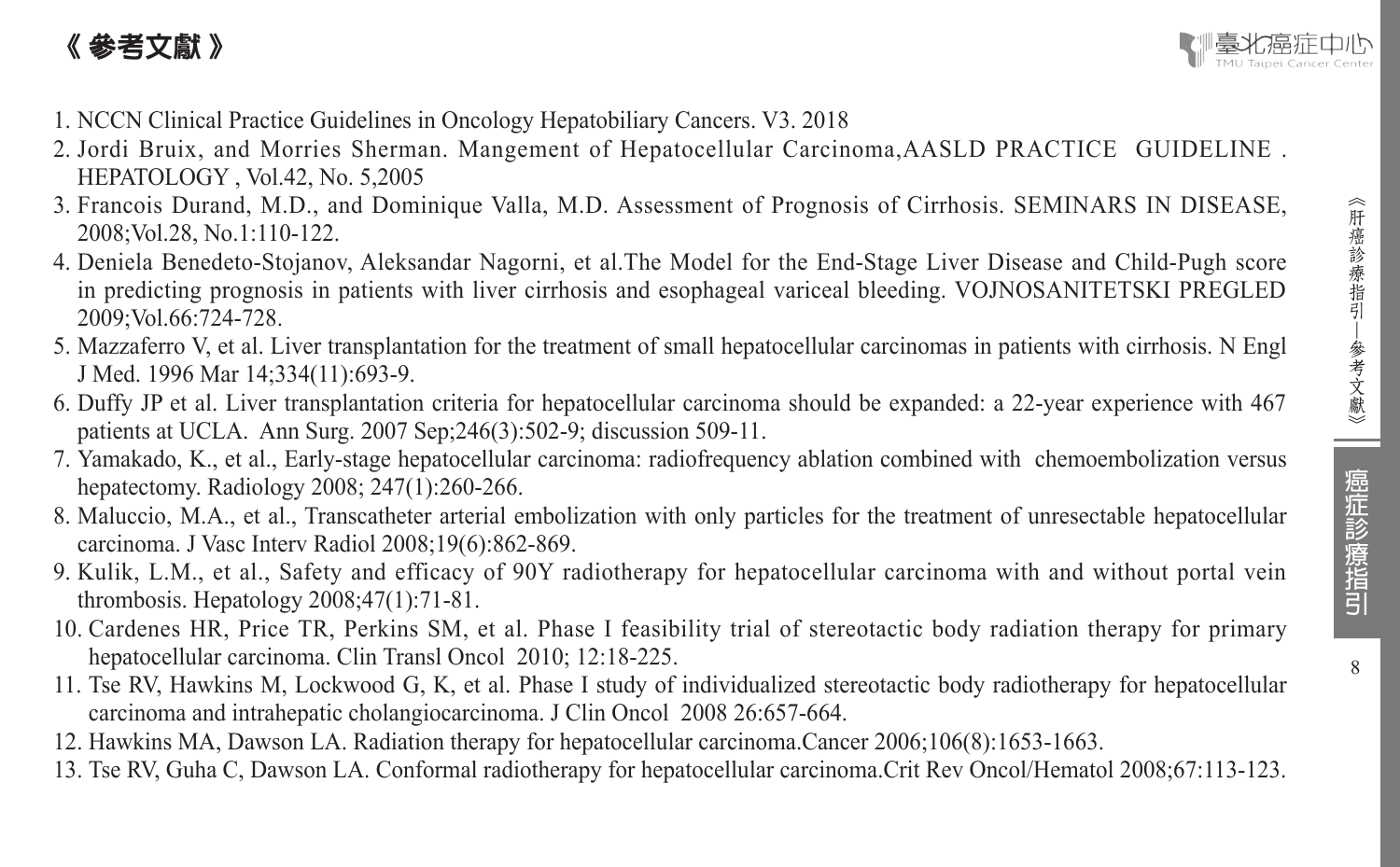# 《 參考文獻 》



- 1. NCCN Clinical Practice Guidelines in Oncology Hepatobiliary Cancers. V3. 2018
- 2. Jordi Bruix, and Morries Sherman. Mangement of Hepatocellular Carcinoma,AASLD PRACTICE GUIDELINE . HEPATOLOGY , Vol.42, No. 5,2005
- 3. Francois Durand, M.D., and Dominique Valla, M.D. Assessment of Prognosis of Cirrhosis. SEMINARS IN DISEASE, 2008;Vol.28, No.1:110-122.
- 4. Deniela Benedeto-Stojanov, Aleksandar Nagorni, et al.The Model for the End-Stage Liver Disease and Child-Pugh score in predicting prognosis in patients with liver cirrhosis and esophageal variceal bleeding. VOJNOSANITETSKI PREGLED 2009;Vol.66:724-728.
- 5. Mazzaferro V, et al. Liver transplantation for the treatment of small hepatocellular carcinomas in patients with cirrhosis. N Engl J Med. 1996 Mar 14;334(11):693-9.
- 6. Duffy JP et al. Liver transplantation criteria for hepatocellular carcinoma should be expanded: a 22-year experience with 467 patients at UCLA. Ann Surg. 2007 Sep;246(3):502-9; discussion 509-11.
- 7. Yamakado, K., et al., Early-stage hepatocellular carcinoma: radiofrequency ablation combined with chemoembolization versus hepatectomy. Radiology 2008; 247(1):260-266.
- 8. Maluccio, M.A., et al., Transcatheter arterial embolization with only particles for the treatment of unresectable hepatocellular carcinoma. J Vasc Interv Radiol 2008;19(6):862-869.
- 9. Kulik, L.M., et al., Safety and efficacy of 90Y radiotherapy for hepatocellular carcinoma with and without portal vein thrombosis. Hepatology 2008;47(1):71-81.
- 10. Cardenes HR, Price TR, Perkins SM, et al. Phase I feasibility trial of stereotactic body radiation therapy for primary hepatocellular carcinoma. Clin Transl Oncol 2010; 12:18-225.
- 11. Tse RV, Hawkins M, Lockwood G, K, et al. Phase I study of individualized stereotactic body radiotherapy for hepatocellular carcinoma and intrahepatic cholangiocarcinoma. J Clin Oncol 2008 26:657-664.
- 12. Hawkins MA, Dawson LA. Radiation therapy for hepatocellular carcinoma.Cancer 2006;106(8):1653-1663.
- 13. Tse RV, Guha C, Dawson LA. Conformal radiotherapy for hepatocellular carcinoma.Crit Rev Oncol/Hematol 2008;67:113-123.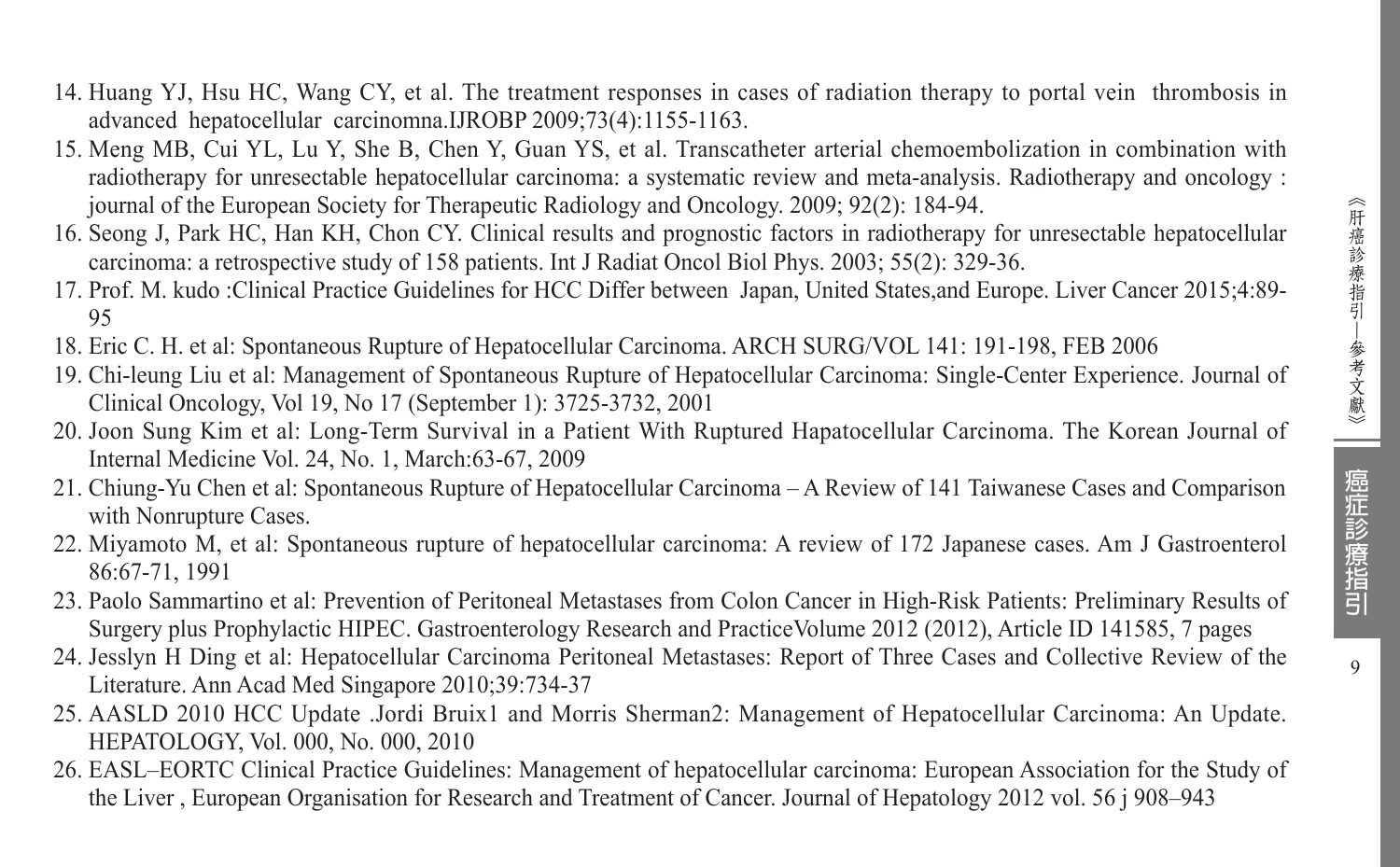- 14. Huang YJ, Hsu HC, Wang CY, et al. The treatment responses in cases of radiation therapy to portal vein thrombosis in advanced hepatocellular carcinomna.IJROBP 2009;73(4):1155-1163.
- 15. Meng MB, Cui YL, Lu Y, She B, Chen Y, Guan YS, et al. Transcatheter arterial chemoembolization in combination with radiotherapy for unresectable hepatocellular carcinoma: a systematic review and meta-analysis. Radiotherapy and oncology : journal of the European Society for Therapeutic Radiology and Oncology. 2009; 92(2): 184-94.
- 16. Seong J, Park HC, Han KH, Chon CY. Clinical results and prognostic factors in radiotherapy for unresectable hepatocellular carcinoma: a retrospective study of 158 patients. Int J Radiat Oncol Biol Phys. 2003; 55(2): 329-36.
- 17. Prof. M. kudo :Clinical Practice Guidelines for HCC Differ between Japan, United States,and Europe. Liver Cancer 2015;4:89- 95
- 18. Eric C. H. et al: Spontaneous Rupture of Hepatocellular Carcinoma. ARCH SURG/VOL 141: 191-198, FEB 2006
- 19. Chi-leung Liu et al: Management of Spontaneous Rupture of Hepatocellular Carcinoma: Single-Center Experience. Journal of Clinical Oncology, Vol 19, No 17 (September 1): 3725-3732, 2001
- 20. Joon Sung Kim et al: Long-Term Survival in a Patient With Ruptured Hapatocellular Carcinoma. The Korean Journal of Internal Medicine Vol. 24, No. 1, March:63-67, 2009
- 21. Chiung-Yu Chen et al: Spontaneous Rupture of Hepatocellular Carcinoma A Review of 141 Taiwanese Cases and Comparison with Nonrupture Cases.
- 22. Miyamoto M, et al: Spontaneous rupture of hepatocellular carcinoma: A review of 172 Japanese cases. Am J Gastroenterol 86:67-71, 1991
- 23. Paolo Sammartino et al: Prevention of Peritoneal Metastases from Colon Cancer in High-Risk Patients: Preliminary Results of Surgery plus Prophylactic HIPEC. Gastroenterology Research and PracticeVolume 2012 (2012), Article ID 141585, 7 pages
- 24. Jesslyn H Ding et al: Hepatocellular Carcinoma Peritoneal Metastases: Report of Three Cases and Collective Review of the Literature. Ann Acad Med Singapore 2010;39:734-37
- 25. AASLD 2010 HCC Update .Jordi Bruix1 and Morris Sherman2: Management of Hepatocellular Carcinoma: An Update. HEPATOLOGY, Vol. 000, No. 000, 2010
- 26. EASL–EORTC Clinical Practice Guidelines: Management of hepatocellular carcinoma: European Association for the Study of the Liver , European Organisation for Research and Treatment of Cancer. Journal of Hepatology 2012 vol. 56 j 908–943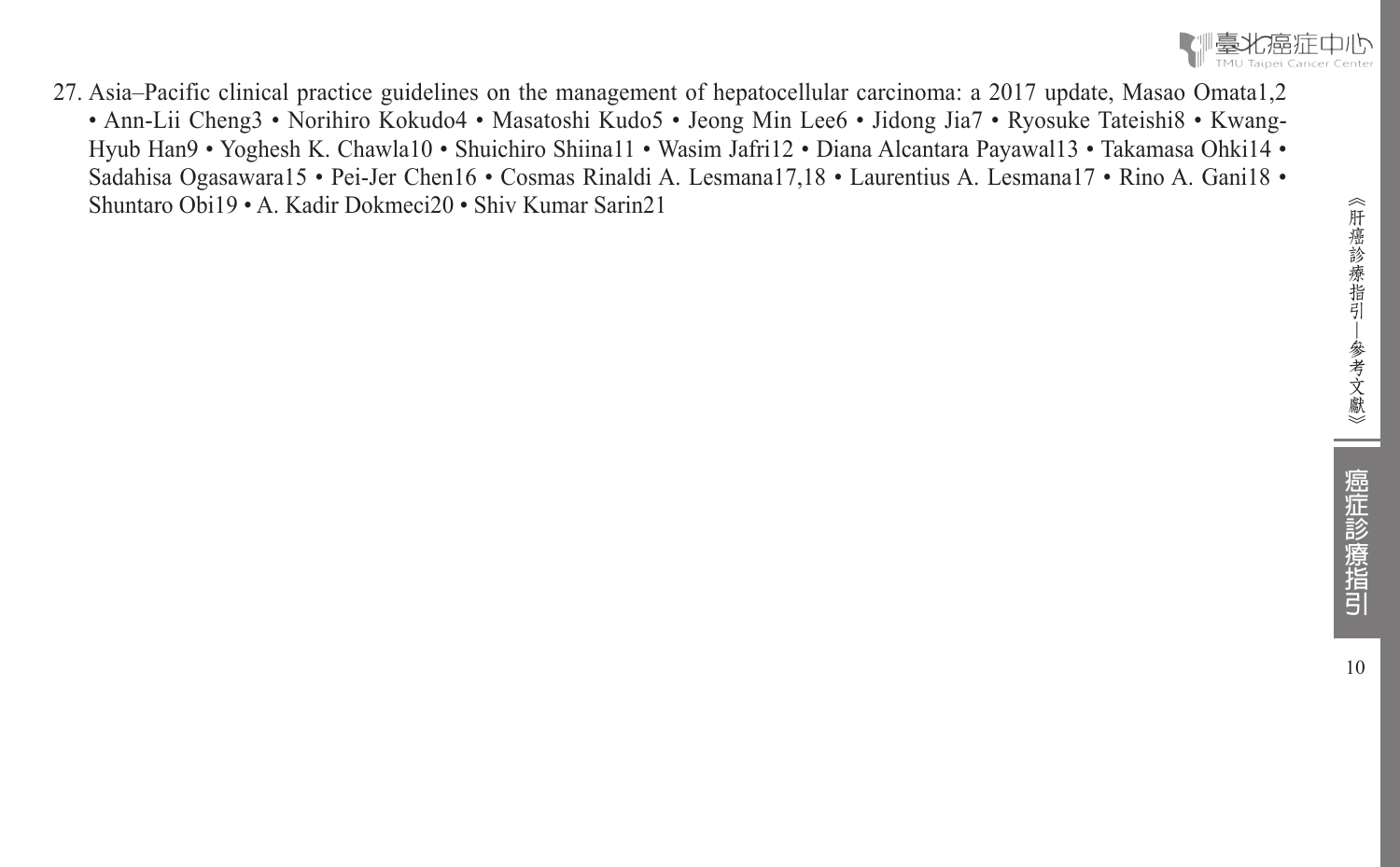

27. Asia–Pacific clinical practice guidelines on the management of hepatocellular carcinoma: a 2017 update, Masao Omata1,2 • Ann-Lii Cheng3 • Norihiro Kokudo4 • Masatoshi Kudo5 • Jeong Min Lee6 • Jidong Jia7 • Ryosuke Tateishi8 • Kwang-Hyub Han9 • Yoghesh K. Chawla10 • Shuichiro Shiina11 • Wasim Jafri12 • Diana Alcantara Payawal13 • Takamasa Ohki14 • Sadahisa Ogasawara15 • Pei-Jer Chen16 • Cosmas Rinaldi A. Lesmana17,18 • Laurentius A. Lesmana17 • Rino A. Gani18 • Shuntaro Obi19 • A. Kadir Dokmeci20 • Shiv Kumar Sarin21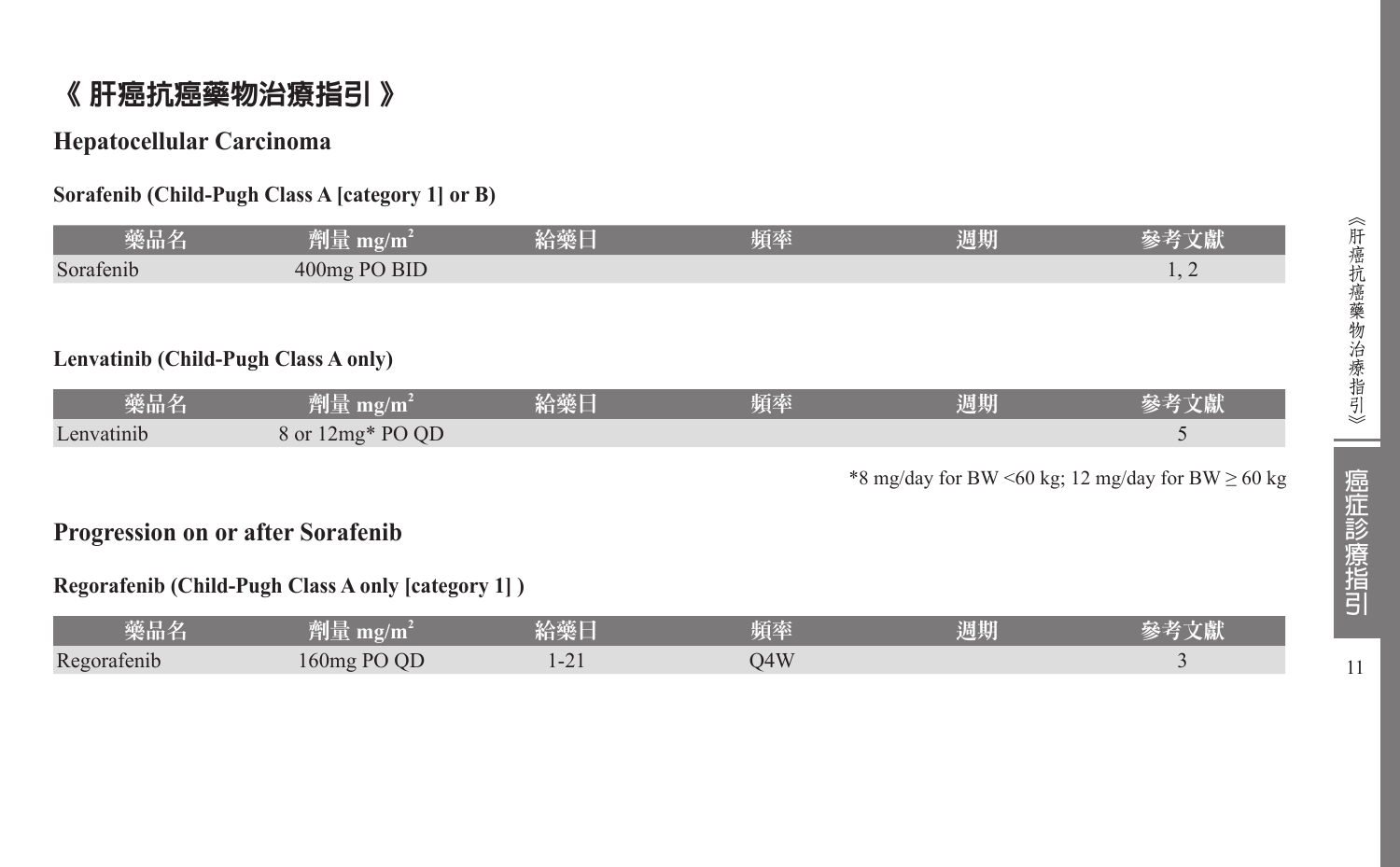# 《 肝癌抗癌藥物治療指引 》

#### **Hepatocellular Carcinoma**

#### **Sorafenib (Child-Pugh Class A [category 1] or B)**

| 藥品名                                                | 劑量 mg/m <sup>2</sup> | 給藥日 | 頻率 | 週期 | 參考文獻                                                   |  |  |
|----------------------------------------------------|----------------------|-----|----|----|--------------------------------------------------------|--|--|
| Sorafenib                                          | 400mg PO BID         |     |    |    | 1, 2                                                   |  |  |
|                                                    |                      |     |    |    |                                                        |  |  |
|                                                    |                      |     |    |    |                                                        |  |  |
| Lenvatinib (Child-Pugh Class A only)               |                      |     |    |    |                                                        |  |  |
| 藥品名                                                | 劑量 mg/m <sup>2</sup> | 給藥日 | 頻率 | 週期 | 參考文獻                                                   |  |  |
| Lenvatinib                                         | 8 or 12mg* PO QD     |     |    |    | 5                                                      |  |  |
|                                                    |                      |     |    |    | *8 mg/day for BW <60 kg; 12 mg/day for BW $\geq$ 60 kg |  |  |
|                                                    |                      |     |    |    |                                                        |  |  |
| <b>Progression on or after Sorafenib</b>           |                      |     |    |    |                                                        |  |  |
| Regorafenib (Child-Pugh Class A only [category 1]) |                      |     |    |    |                                                        |  |  |
| 藥品名                                                | 劑量 mg/m <sup>2</sup> | 給藥日 | 頻率 | 週期 | 參考文獻                                                   |  |  |

Regorafenib 160mg PO QD 1-21 Q4W 3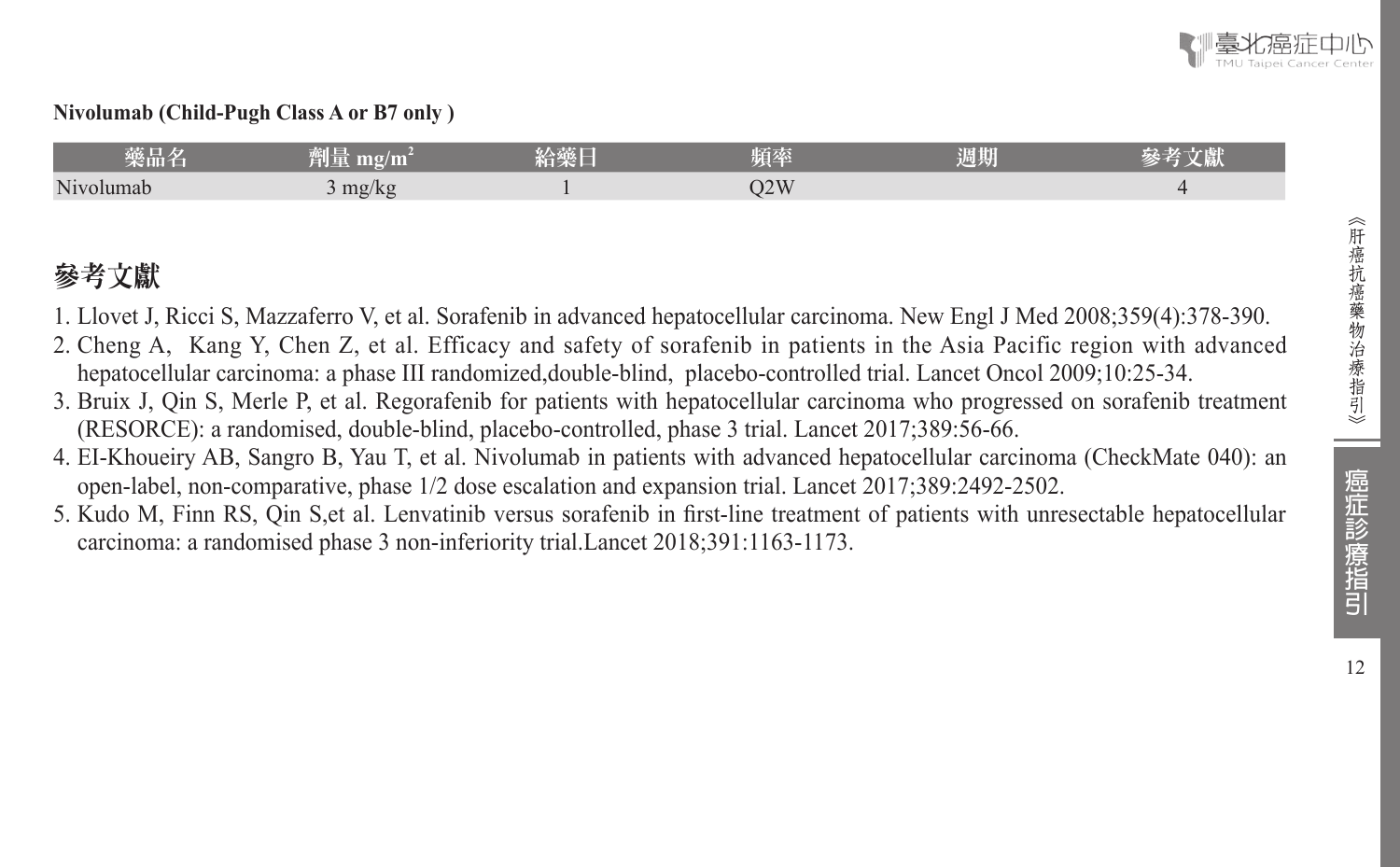

#### **Nivolumab (Child-Pugh Class A or B7 only )**

| 藥品名       | 제도로<br>$\mathbf{m}\mathbf{g}/\mathbf{m}^-$<br>ren n. | 給藥人 | 頃率           | 週期 | <b>START AND</b> |
|-----------|------------------------------------------------------|-----|--------------|----|------------------|
| Nivolumab | mg/kg                                                |     | 12W<br>UZ VV |    |                  |

# 參考文獻

- 1. Llovet J, Ricci S, Mazzaferro V, et al. Sorafenib in advanced hepatocellular carcinoma. New Engl J Med 2008;359(4):378-390.
- 2. Cheng A, Kang Y, Chen Z, et al. Efficacy and safety of sorafenib in patients in the Asia Pacific region with advanced hepatocellular carcinoma: a phase III randomized,double-blind, placebo-controlled trial. Lancet Oncol 2009;10:25-34.
- 3. Bruix J, Qin S, Merle P, et al. Regorafenib for patients with hepatocellular carcinoma who progressed on sorafenib treatment (RESORCE): a randomised, double-blind, placebo-controlled, phase 3 trial. Lancet 2017;389:56-66.
- 4. EI-Khoueiry AB, Sangro B, Yau T, et al. Nivolumab in patients with advanced hepatocellular carcinoma (CheckMate 040): an open-label, non-comparative, phase 1/2 dose escalation and expansion trial. Lancet 2017;389:2492-2502.
- 5. Kudo M, Finn RS, Qin S,et al. Lenvatinib versus sorafenib in first-line treatment of patients with unresectable hepatocellular carcinoma: a randomised phase 3 non-inferiority trial.Lancet 2018;391:1163-1173.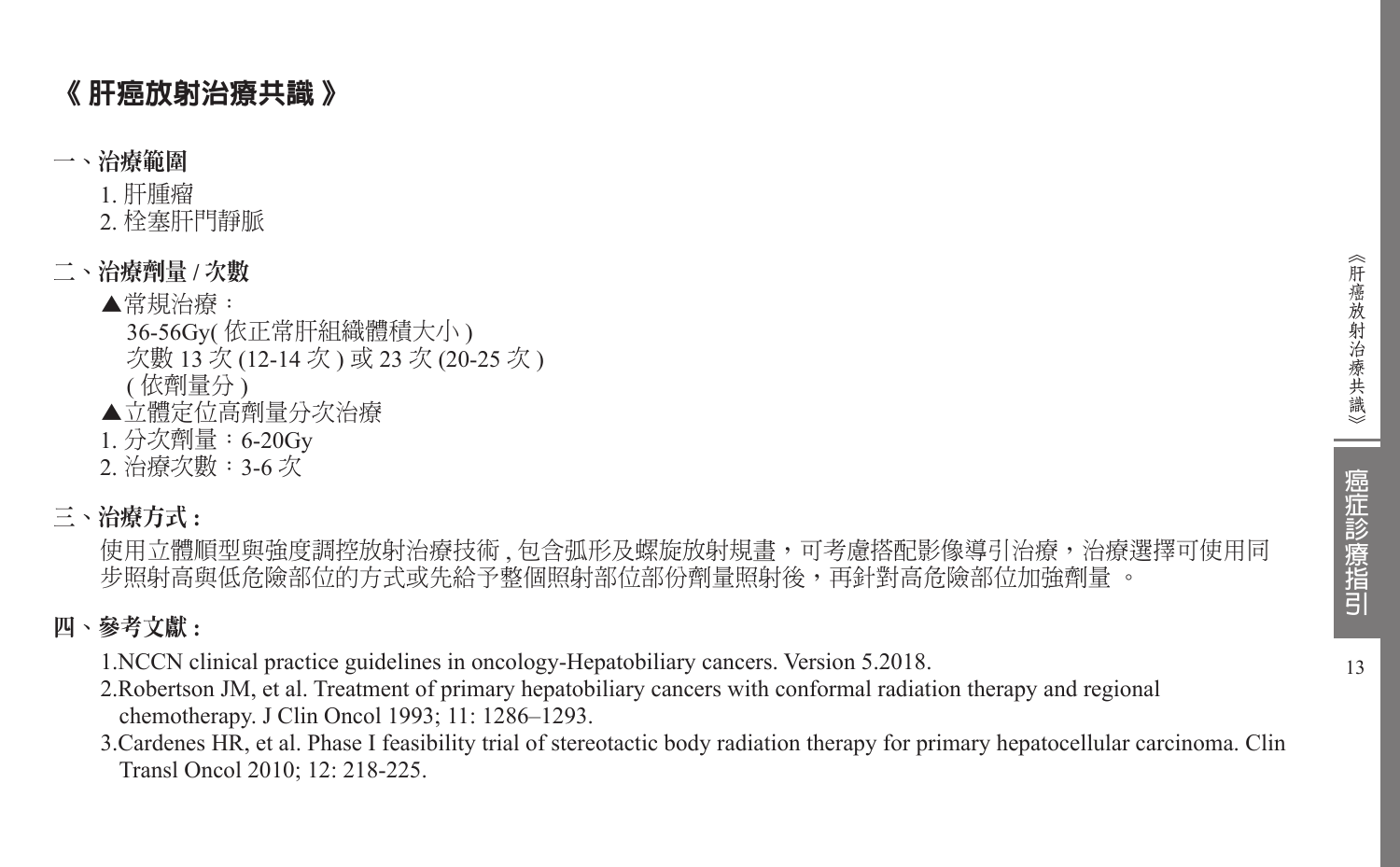# 《 肝癌放射治療共識 》

#### 一、治療範圍

1. 肝腫瘤

2. 栓塞肝門靜脈

### 二、治療劑量 **/** 次數

## ▲常規治療:

- 36-56Gy( 依正常肝組織體積大小 ) 次數 13 次 (12-14 次 ) 或 23 次 (20-25 次 ) ( 依劑量分 )
- ▲立體定位高劑量分次治療
- 1. 分次劑量:6-20Gy
- 2. 治療次數:3-6 次
- 三、治療方式 **:**

使用立體順型與強度調控放射治療技術 , 包含弧形及螺旋放射規畫,可考慮搭配影像導引治療,治療選擇可使用同 步照射高與低危險部位的方式或先給予整個照射部位部份劑量照射後,再針對高危險部位加強劑量 。

# 四、參考文獻 **:**

1.NCCN clinical practice guidelines in oncology-Hepatobiliary cancers. Version 5.2018.

- 2.Robertson JM, et al. Treatment of primary hepatobiliary cancers with conformal radiation therapy and regional chemotherapy. J Clin Oncol 1993; 11: 1286–1293.
- 3.Cardenes HR, et al. Phase I feasibility trial of stereotactic body radiation therapy for primary hepatocellular carcinoma. Clin Transl Oncol 2010; 12: 218-225.